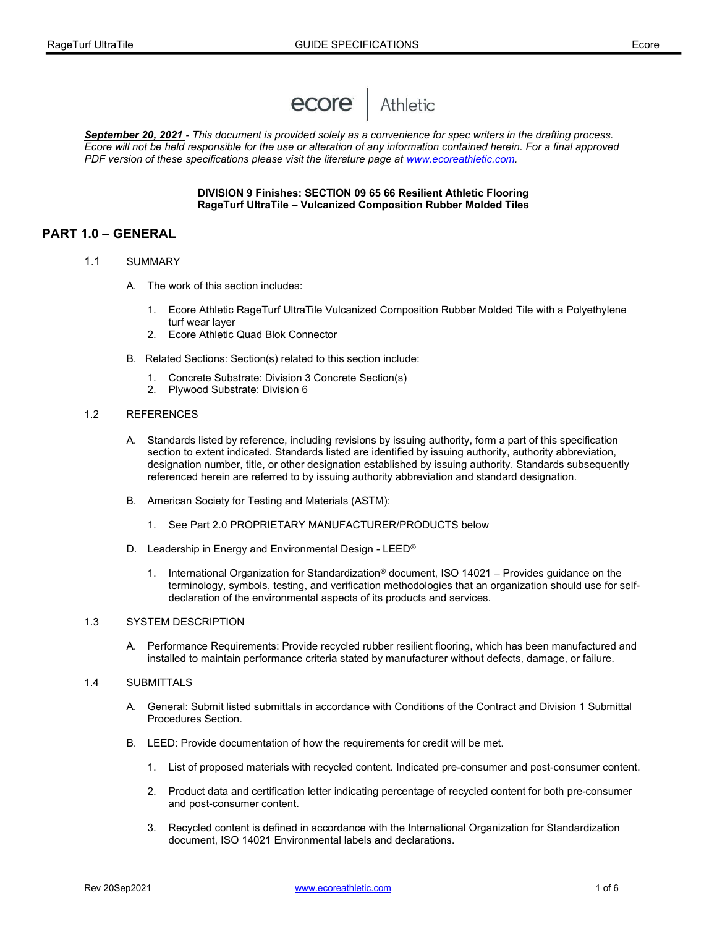

September 20, 2021 - This document is provided solely as a convenience for spec writers in the drafting process. Ecore will not be held responsible for the use or alteration of any information contained herein. For a final approved PDF version of these specifications please visit the literature page at www.ecoreathletic.com.

#### DIVISION 9 Finishes: SECTION 09 65 66 Resilient Athletic Flooring RageTurf UltraTile – Vulcanized Composition Rubber Molded Tiles

# PART 1.0 – GENERAL

- 1.1 SUMMARY
	- A. The work of this section includes:
		- 1. Ecore Athletic RageTurf UltraTile Vulcanized Composition Rubber Molded Tile with a Polyethylene turf wear layer
		- 2. Ecore Athletic Quad Blok Connector
	- B. Related Sections: Section(s) related to this section include:
		- 1. Concrete Substrate: Division 3 Concrete Section(s)
		- 2. Plywood Substrate: Division 6

#### 1.2 REFERENCES

- A. Standards listed by reference, including revisions by issuing authority, form a part of this specification section to extent indicated. Standards listed are identified by issuing authority, authority abbreviation, designation number, title, or other designation established by issuing authority. Standards subsequently referenced herein are referred to by issuing authority abbreviation and standard designation.
- B. American Society for Testing and Materials (ASTM):
	- 1. See Part 2.0 PROPRIETARY MANUFACTURER/PRODUCTS below
- D. Leadership in Energy and Environmental Design LEED<sup>®</sup>
	- 1. International Organization for Standardization® document, ISO 14021 Provides guidance on the terminology, symbols, testing, and verification methodologies that an organization should use for selfdeclaration of the environmental aspects of its products and services.

#### 1.3 SYSTEM DESCRIPTION

 A. Performance Requirements: Provide recycled rubber resilient flooring, which has been manufactured and installed to maintain performance criteria stated by manufacturer without defects, damage, or failure.

#### 1.4 SUBMITTALS

- A. General: Submit listed submittals in accordance with Conditions of the Contract and Division 1 Submittal Procedures Section.
- B. LEED: Provide documentation of how the requirements for credit will be met.
	- 1. List of proposed materials with recycled content. Indicated pre-consumer and post-consumer content.
	- 2. Product data and certification letter indicating percentage of recycled content for both pre-consumer and post-consumer content.
	- 3. Recycled content is defined in accordance with the International Organization for Standardization document, ISO 14021 Environmental labels and declarations.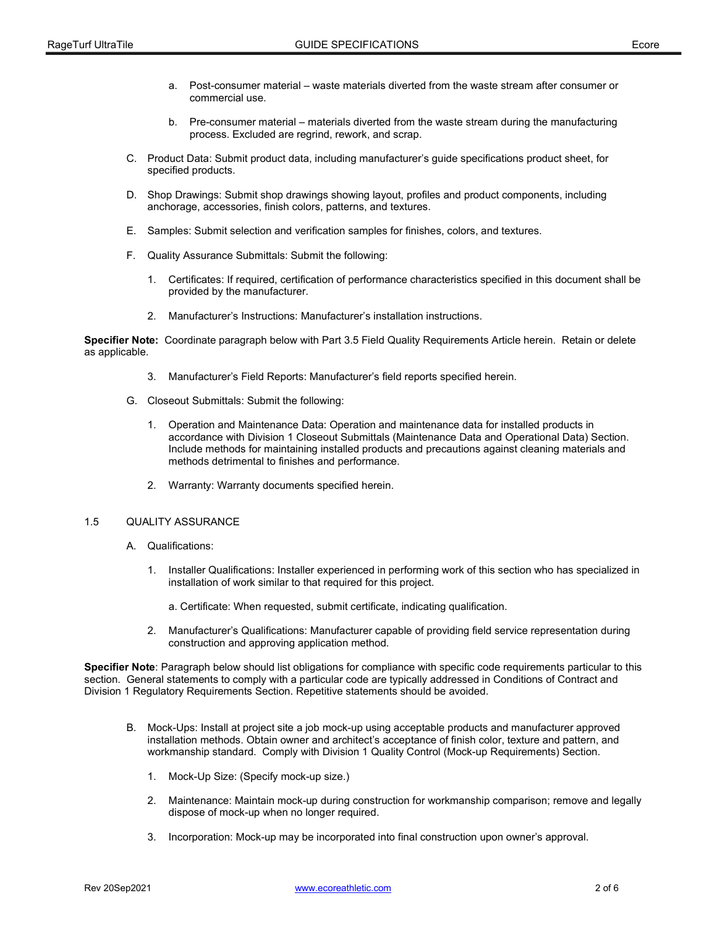- a. Post-consumer material waste materials diverted from the waste stream after consumer or commercial use.
- b. Pre-consumer material materials diverted from the waste stream during the manufacturing process. Excluded are regrind, rework, and scrap.
- C. Product Data: Submit product data, including manufacturer's guide specifications product sheet, for specified products.
- D. Shop Drawings: Submit shop drawings showing layout, profiles and product components, including anchorage, accessories, finish colors, patterns, and textures.
- E. Samples: Submit selection and verification samples for finishes, colors, and textures.
- F. Quality Assurance Submittals: Submit the following:
	- 1. Certificates: If required, certification of performance characteristics specified in this document shall be provided by the manufacturer.
	- 2. Manufacturer's Instructions: Manufacturer's installation instructions.

Specifier Note: Coordinate paragraph below with Part 3.5 Field Quality Requirements Article herein. Retain or delete as applicable.

- 3. Manufacturer's Field Reports: Manufacturer's field reports specified herein.
- G. Closeout Submittals: Submit the following:
	- 1. Operation and Maintenance Data: Operation and maintenance data for installed products in accordance with Division 1 Closeout Submittals (Maintenance Data and Operational Data) Section. Include methods for maintaining installed products and precautions against cleaning materials and methods detrimental to finishes and performance.
	- 2. Warranty: Warranty documents specified herein.

#### 1.5 QUALITY ASSURANCE

- A. Qualifications:
	- 1. Installer Qualifications: Installer experienced in performing work of this section who has specialized in installation of work similar to that required for this project.
		- a. Certificate: When requested, submit certificate, indicating qualification.
	- 2. Manufacturer's Qualifications: Manufacturer capable of providing field service representation during construction and approving application method.

Specifier Note: Paragraph below should list obligations for compliance with specific code requirements particular to this section. General statements to comply with a particular code are typically addressed in Conditions of Contract and Division 1 Regulatory Requirements Section. Repetitive statements should be avoided.

- B. Mock-Ups: Install at project site a job mock-up using acceptable products and manufacturer approved installation methods. Obtain owner and architect's acceptance of finish color, texture and pattern, and workmanship standard. Comply with Division 1 Quality Control (Mock-up Requirements) Section.
	- 1. Mock-Up Size: (Specify mock-up size.)
	- 2. Maintenance: Maintain mock-up during construction for workmanship comparison; remove and legally dispose of mock-up when no longer required.
	- 3. Incorporation: Mock-up may be incorporated into final construction upon owner's approval.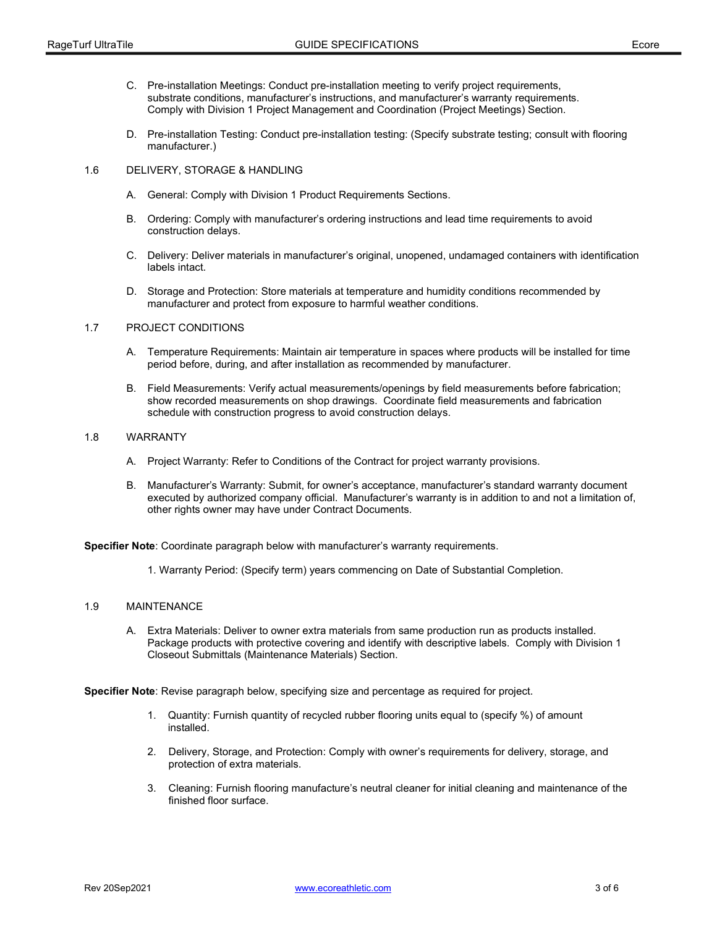- C. Pre-installation Meetings: Conduct pre-installation meeting to verify project requirements, substrate conditions, manufacturer's instructions, and manufacturer's warranty requirements. Comply with Division 1 Project Management and Coordination (Project Meetings) Section.
- D. Pre-installation Testing: Conduct pre-installation testing: (Specify substrate testing; consult with flooring manufacturer.)
- 1.6 DELIVERY, STORAGE & HANDLING
	- A. General: Comply with Division 1 Product Requirements Sections.
	- B. Ordering: Comply with manufacturer's ordering instructions and lead time requirements to avoid construction delays.
	- C. Delivery: Deliver materials in manufacturer's original, unopened, undamaged containers with identification labels intact.
	- D. Storage and Protection: Store materials at temperature and humidity conditions recommended by manufacturer and protect from exposure to harmful weather conditions.

#### 1.7 PROJECT CONDITIONS

- A. Temperature Requirements: Maintain air temperature in spaces where products will be installed for time period before, during, and after installation as recommended by manufacturer.
- B. Field Measurements: Verify actual measurements/openings by field measurements before fabrication; show recorded measurements on shop drawings. Coordinate field measurements and fabrication schedule with construction progress to avoid construction delays.

#### 1.8 WARRANTY

- A. Project Warranty: Refer to Conditions of the Contract for project warranty provisions.
- B. Manufacturer's Warranty: Submit, for owner's acceptance, manufacturer's standard warranty document executed by authorized company official. Manufacturer's warranty is in addition to and not a limitation of, other rights owner may have under Contract Documents.

Specifier Note: Coordinate paragraph below with manufacturer's warranty requirements.

1. Warranty Period: (Specify term) years commencing on Date of Substantial Completion.

#### 1.9 MAINTENANCE

 A. Extra Materials: Deliver to owner extra materials from same production run as products installed. Package products with protective covering and identify with descriptive labels. Comply with Division 1 Closeout Submittals (Maintenance Materials) Section.

Specifier Note: Revise paragraph below, specifying size and percentage as required for project.

- 1. Quantity: Furnish quantity of recycled rubber flooring units equal to (specify %) of amount installed.
- 2. Delivery, Storage, and Protection: Comply with owner's requirements for delivery, storage, and protection of extra materials.
- 3. Cleaning: Furnish flooring manufacture's neutral cleaner for initial cleaning and maintenance of the finished floor surface.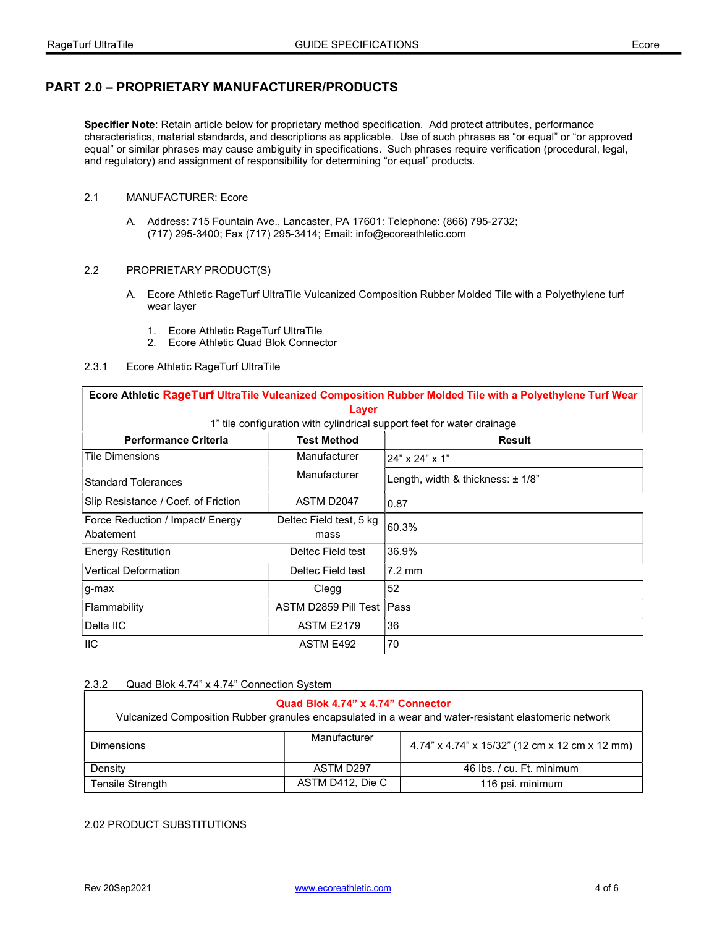# PART 2.0 – PROPRIETARY MANUFACTURER/PRODUCTS

Specifier Note: Retain article below for proprietary method specification. Add protect attributes, performance characteristics, material standards, and descriptions as applicable. Use of such phrases as "or equal" or "or approved equal" or similar phrases may cause ambiguity in specifications. Such phrases require verification (procedural, legal, and regulatory) and assignment of responsibility for determining "or equal" products.

### 2.1 MANUFACTURER: Ecore

 A. Address: 715 Fountain Ave., Lancaster, PA 17601: Telephone: (866) 795-2732; (717) 295-3400; Fax (717) 295-3414; Email: info@ecoreathletic.com

## 2.2 PROPRIETARY PRODUCT(S)

- A. Ecore Athletic RageTurf UltraTile Vulcanized Composition Rubber Molded Tile with a Polyethylene turf wear layer
	- 1. Ecore Athletic RageTurf UltraTile
	- 2. Ecore Athletic Quad Blok Connector

### 2.3.1 Ecore Athletic RageTurf UltraTile

| Ecore Athletic RageTurf UltraTile Vulcanized Composition Rubber Molded Tile with a Polyethylene Turf Wear |                                 |                                       |  |  |
|-----------------------------------------------------------------------------------------------------------|---------------------------------|---------------------------------------|--|--|
| Layer                                                                                                     |                                 |                                       |  |  |
| 1" tile configuration with cylindrical support feet for water drainage                                    |                                 |                                       |  |  |
| <b>Performance Criteria</b>                                                                               | <b>Test Method</b>              | <b>Result</b>                         |  |  |
| Tile Dimensions                                                                                           | Manufacturer                    | 24" x 24" x 1"                        |  |  |
| <b>Standard Tolerances</b>                                                                                | Manufacturer                    | Length, width & thickness: $\pm$ 1/8" |  |  |
| Slip Resistance / Coef. of Friction                                                                       | ASTM D2047                      | 0.87                                  |  |  |
| Force Reduction / Impact/ Energy<br>Abatement                                                             | Deltec Field test, 5 kg<br>mass | 60.3%                                 |  |  |
| <b>Energy Restitution</b>                                                                                 | Deltec Field test               | 36.9%                                 |  |  |
| <b>Vertical Deformation</b>                                                                               | Deltec Field test               | $7.2 \text{ mm}$                      |  |  |
| g-max                                                                                                     | Clegg                           | 52                                    |  |  |
| Flammability                                                                                              | ASTM D2859 Pill Test            | ⊩Pass                                 |  |  |
| Delta IIC                                                                                                 | <b>ASTM E2179</b>               | 36                                    |  |  |
| <b>IIC</b>                                                                                                | ASTM E492                       | 70                                    |  |  |

2.3.2 Quad Blok 4.74" x 4.74" Connection System

| Quad Blok 4.74" x 4.74" Connector<br>Vulcanized Composition Rubber granules encapsulated in a wear and water-resistant elastomeric network |                  |                                                |  |
|--------------------------------------------------------------------------------------------------------------------------------------------|------------------|------------------------------------------------|--|
| <b>Dimensions</b>                                                                                                                          | Manufacturer     | 4.74" x 4.74" x 15/32" (12 cm x 12 cm x 12 mm) |  |
| Density                                                                                                                                    | ASTM D297        | 46 lbs. / cu. Ft. minimum                      |  |
| Tensile Strength                                                                                                                           | ASTM D412, Die C | 116 psi. minimum                               |  |

#### 2.02 PRODUCT SUBSTITUTIONS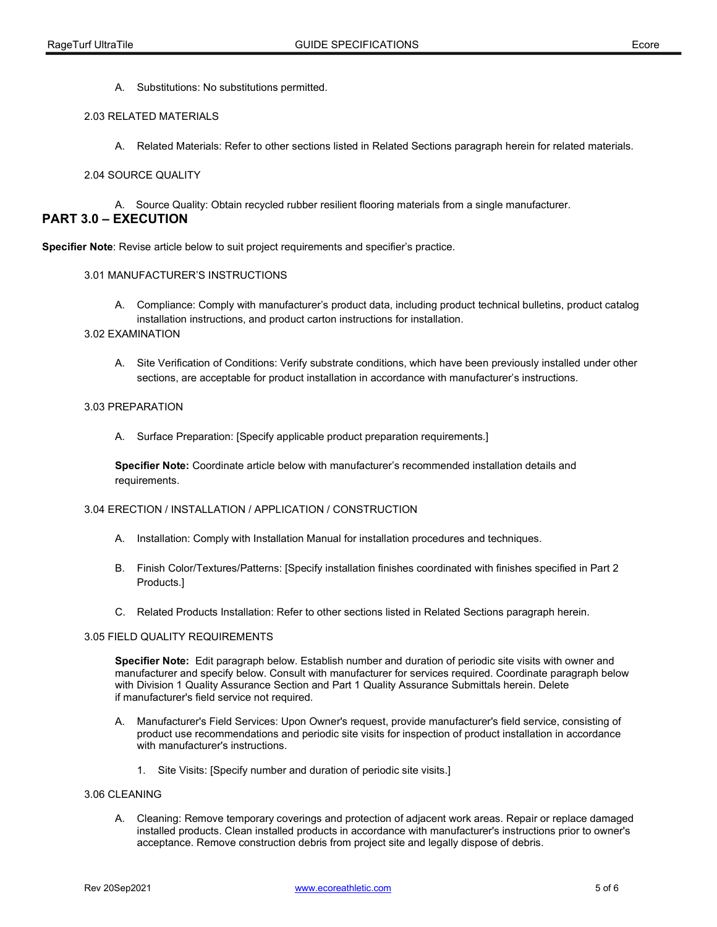A. Substitutions: No substitutions permitted.

### 2.03 RELATED MATERIALS

A. Related Materials: Refer to other sections listed in Related Sections paragraph herein for related materials.

### 2.04 SOURCE QUALITY

A. Source Quality: Obtain recycled rubber resilient flooring materials from a single manufacturer.

# PART 3.0 – EXECUTION

Specifier Note: Revise article below to suit project requirements and specifier's practice.

## 3.01 MANUFACTURER'S INSTRUCTIONS

 A. Compliance: Comply with manufacturer's product data, including product technical bulletins, product catalog installation instructions, and product carton instructions for installation.

#### 3.02 EXAMINATION

 A. Site Verification of Conditions: Verify substrate conditions, which have been previously installed under other sections, are acceptable for product installation in accordance with manufacturer's instructions.

## 3.03 PREPARATION

A. Surface Preparation: [Specify applicable product preparation requirements.]

Specifier Note: Coordinate article below with manufacturer's recommended installation details and requirements.

#### 3.04 ERECTION / INSTALLATION / APPLICATION / CONSTRUCTION

- A. Installation: Comply with Installation Manual for installation procedures and techniques.
- B. Finish Color/Textures/Patterns: [Specify installation finishes coordinated with finishes specified in Part 2 Products.]
- C. Related Products Installation: Refer to other sections listed in Related Sections paragraph herein.

### 3.05 FIELD QUALITY REQUIREMENTS

Specifier Note: Edit paragraph below. Establish number and duration of periodic site visits with owner and manufacturer and specify below. Consult with manufacturer for services required. Coordinate paragraph below with Division 1 Quality Assurance Section and Part 1 Quality Assurance Submittals herein. Delete if manufacturer's field service not required.

- A. Manufacturer's Field Services: Upon Owner's request, provide manufacturer's field service, consisting of product use recommendations and periodic site visits for inspection of product installation in accordance with manufacturer's instructions.
	- 1. Site Visits: [Specify number and duration of periodic site visits.]

#### 3.06 CLEANING

 A. Cleaning: Remove temporary coverings and protection of adjacent work areas. Repair or replace damaged installed products. Clean installed products in accordance with manufacturer's instructions prior to owner's acceptance. Remove construction debris from project site and legally dispose of debris.